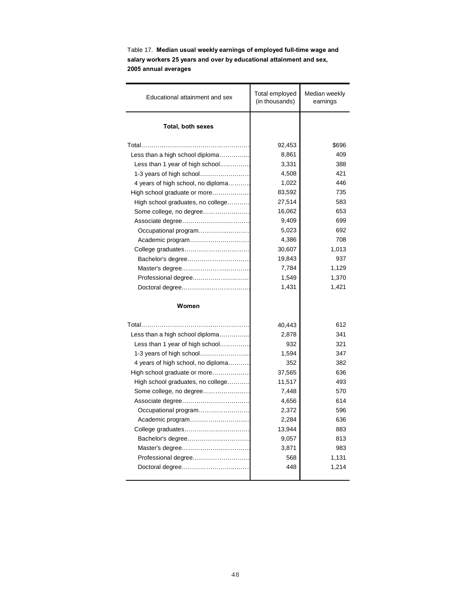| Educational attainment and sex     | Total employed<br>(in thousands) | Median weekly<br>earnings |
|------------------------------------|----------------------------------|---------------------------|
| <b>Total, both sexes</b>           |                                  |                           |
| Total                              | 92,453                           | \$696                     |
| Less than a high school diploma    | 8,861                            | 409                       |
| Less than 1 year of high school    | 3,331                            | 388                       |
|                                    | 4,508                            | 421                       |
| 4 years of high school, no diploma | 1,022                            | 446                       |
| High school graduate or more       | 83,592                           | 735                       |
| High school graduates, no college  | 27,514                           | 583                       |
| Some college, no degree            | 16,062                           | 653                       |
|                                    | 9,409                            | 699                       |
| Occupational program               | 5,023                            | 692                       |
| Academic program                   | 4,386                            | 708                       |
| College graduates                  | 30,607                           | 1,013                     |
| Bachelor's degree                  | 19,843                           | 937                       |
|                                    | 7,784                            | 1,129                     |
| Professional degree                | 1,549                            | 1,370                     |
|                                    | 1,431                            | 1,421                     |
| Women                              |                                  |                           |
|                                    | 40,443                           | 612                       |
| Less than a high school diploma    | 2,878                            | 341                       |
| Less than 1 year of high school    | 932                              | 321                       |
|                                    | 1.594                            | 347                       |
| 4 years of high school, no diploma | 352                              | 382                       |
| High school graduate or more       | 37,565                           | 636                       |
| High school graduates, no college  | 11,517                           | 493                       |
| Some college, no degree            | 7,448                            | 570                       |
|                                    | 4,656                            | 614                       |
| Occupational program               | 2,372                            | 596                       |
|                                    | 2,284                            | 636                       |
| College graduates                  | 13,944                           | 883                       |
| Bachelor's degree                  | 9,057                            | 813                       |
|                                    | 3,871                            | 983                       |
| Professional degree                | 568                              | 1,131                     |
|                                    | 448                              | 1,214                     |
|                                    |                                  |                           |

Table 17. **Median usual weekly earnings of employed full-time wage and salary workers 25 years and over by educational attainment and sex, 2005 annual averages**